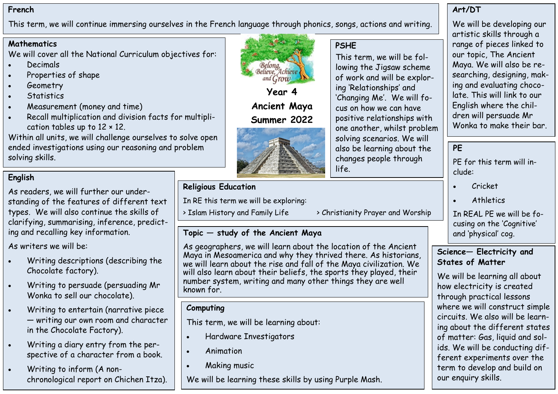#### **French**

This term, we will continue immersing ourselves in the French language through phonics, songs, actions and writing.

### **Mathematics**

We will cover all the National Curriculum objectives for:

- Decimals
- Properties of shape
- Geometry
- Statistics
- Measurement (money and time)
- Recall multiplication and division facts for multiplication tables up to 12 × 12.

Within all units, we will challenge ourselves to solve open ended investigations using our reasoning and problem solving skills.

# **English**

As readers, we will further our understanding of the features of different text types. We will also continue the skills of clarifying, summarising, inference, predicting and recalling key information.

As writers we will be:

- Writing descriptions (describing the Chocolate factory).
- Writing to persuade (persuading Mr Wonka to sell our chocolate).
- Writing to entertain (narrative piece — writing our own room and character in the Chocolate Factory).
- Writing a diary entry from the perspective of a character from a book.
- Writing to inform (A nonchronological report on Chichen Itza).



**Ancient Maya Summer 2022**



# **Religious Education**

In RE this term we will be exploring:

#### > Islam History and Family Life > Christianity Prayer and Worship

### **Topic — study of the Ancient Maya**

As geographers, we will learn about the location of the Ancient Maya in Mesoamerica and why they thrived there. As historians, we will learn about the rise and fall of the Maya civilization. We will also learn about their beliefs, the sports they played, their number system, writing and many other things they are well known for.

### **Computing**

This term, we will be learning about:

- Hardware Investigators
- Animation
- Making music

We will be learning these skills by using Purple Mash.

### **Art/DT**

We will be developing our artistic skills through a range of pieces linked to our topic, The Ancient Maya. We will also be researching, designing, making and evaluating chocolate. This will link to our English where the children will persuade Mr Wonka to make their bar.

## **PE**

PE for this term will include:

- Cricket
- **Athletics**

In REAL PE we will be focusing on the 'Cognitive' and 'physical' cog.

### **Science— Electricity and States of Matter**

We will be learning all about how electricity is created through practical lessons where we will construct simple circuits. We also will be learning about the different states of matter: Gas, liquid and solids. We will be conducting different experiments over the term to develop and build on our enquiry skills.

life.

**PSHE**

This term, we will be following the Jigsaw scheme of work and will be explor-

'Changing Me'. We will focus on how we can have positive relationships with one another, whilst problem solving scenarios. We will also be learning about the changes people through

ing 'Relationships' and